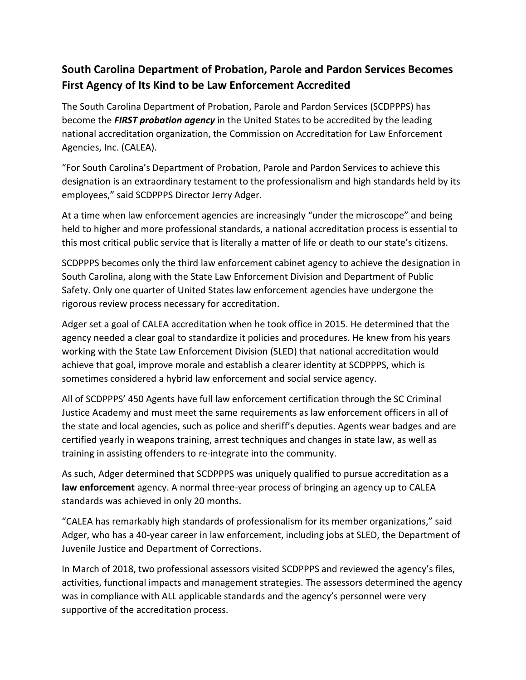## **South Carolina Department of Probation, Parole and Pardon Services Becomes First Agency of Its Kind to be Law Enforcement Accredited**

The South Carolina Department of Probation, Parole and Pardon Services (SCDPPPS) has become the *FIRST probation agency* in the United States to be accredited by the leading national accreditation organization, the Commission on Accreditation for Law Enforcement Agencies, Inc. (CALEA).

"For South Carolina's Department of Probation, Parole and Pardon Services to achieve this designation is an extraordinary testament to the professionalism and high standards held by its employees," said SCDPPPS Director Jerry Adger.

At a time when law enforcement agencies are increasingly "under the microscope" and being held to higher and more professional standards, a national accreditation process is essential to this most critical public service that is literally a matter of life or death to our state's citizens.

SCDPPPS becomes only the third law enforcement cabinet agency to achieve the designation in South Carolina, along with the State Law Enforcement Division and Department of Public Safety. Only one quarter of United States law enforcement agencies have undergone the rigorous review process necessary for accreditation.

Adger set a goal of CALEA accreditation when he took office in 2015. He determined that the agency needed a clear goal to standardize it policies and procedures. He knew from his years working with the State Law Enforcement Division (SLED) that national accreditation would achieve that goal, improve morale and establish a clearer identity at SCDPPPS, which is sometimes considered a hybrid law enforcement and social service agency.

All of SCDPPPS' 450 Agents have full law enforcement certification through the SC Criminal Justice Academy and must meet the same requirements as law enforcement officers in all of the state and local agencies, such as police and sheriff's deputies. Agents wear badges and are certified yearly in weapons training, arrest techniques and changes in state law, as well as training in assisting offenders to re-integrate into the community.

As such, Adger determined that SCDPPPS was uniquely qualified to pursue accreditation as a **law enforcement** agency. A normal three-year process of bringing an agency up to CALEA standards was achieved in only 20 months.

"CALEA has remarkably high standards of professionalism for its member organizations," said Adger, who has a 40-year career in law enforcement, including jobs at SLED, the Department of Juvenile Justice and Department of Corrections.

In March of 2018, two professional assessors visited SCDPPPS and reviewed the agency's files, activities, functional impacts and management strategies. The assessors determined the agency was in compliance with ALL applicable standards and the agency's personnel were very supportive of the accreditation process.